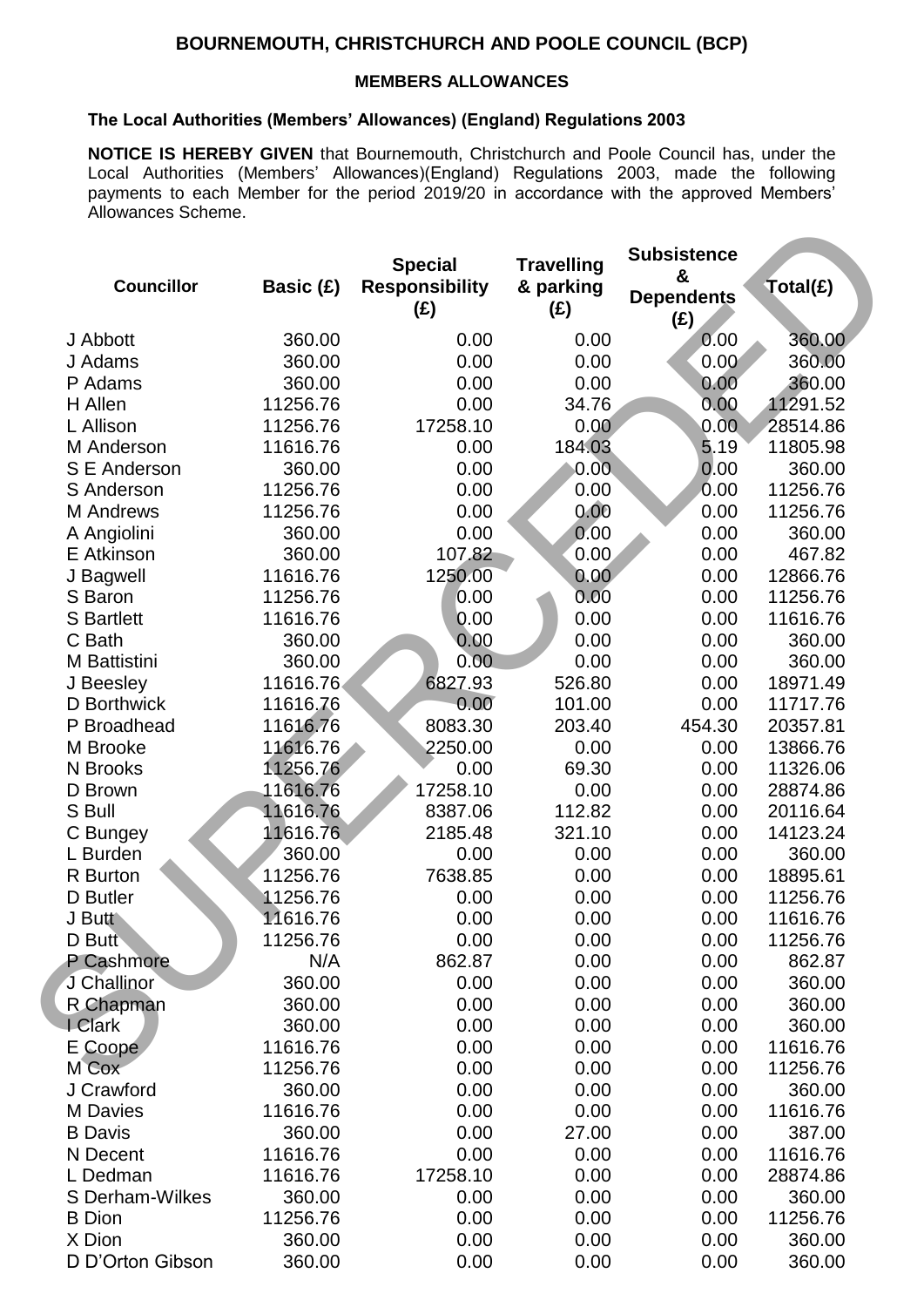## **BOURNEMOUTH, CHRISTCHURCH AND POOLE COUNCIL (BCP)**

## **MEMBERS ALLOWANCES**

## **The Local Authorities (Members' Allowances) (England) Regulations 2003**

**NOTICE IS HEREBY GIVEN** that Bournemouth, Christchurch and Poole Council has, under the Local Authorities (Members' Allowances)(England) Regulations 2003, made the following payments to each Member for the period 2019/20 in accordance with the approved Members' Allowances Scheme.

|                     |           | <b>Special</b>               | <b>Travelling</b> | <b>Subsistence</b>            |          |
|---------------------|-----------|------------------------------|-------------------|-------------------------------|----------|
| <b>Councillor</b>   | Basic (£) | <b>Responsibility</b><br>(E) | & parking<br>(E)  | &<br><b>Dependents</b><br>(E) | Total(£) |
| J Abbott            | 360.00    | 0.00                         | 0.00              | 0.00                          | 360.00   |
| J Adams             | 360.00    | 0.00                         | 0.00              | 0.00                          | 360.00   |
| P Adams             | 360.00    | 0.00                         | 0.00              | 0.00                          | 360.00   |
| H Allen             | 11256.76  | 0.00                         | 34.76             | 0.00                          | 11291.52 |
| L Allison           | 11256.76  | 17258.10                     | 0.00              | 0.00                          | 28514.86 |
| M Anderson          | 11616.76  | 0.00                         | 184.03            | 5.19                          | 11805.98 |
| S E Anderson        | 360.00    | 0.00                         | 0.00              | 0.00                          | 360.00   |
| S Anderson          | 11256.76  | 0.00                         | 0.00              | 0.00                          | 11256.76 |
| <b>M</b> Andrews    | 11256.76  | 0.00                         | 0.00              | 0.00                          | 11256.76 |
| A Angiolini         | 360.00    | 0.00                         | 0.00              | 0.00                          | 360.00   |
| E Atkinson          | 360.00    | 107.82                       | 0.00              | 0.00                          | 467.82   |
| J Bagwell           | 11616.76  | 1250.00                      | 0.00              | 0.00                          | 12866.76 |
| S Baron             | 11256.76  | 0.00                         | 0.00              | 0.00                          | 11256.76 |
| <b>S</b> Bartlett   | 11616.76  | 0.00                         | 0.00              | 0.00                          | 11616.76 |
| C Bath              | 360.00    | 0.00                         | 0.00              | 0.00                          | 360.00   |
| <b>M</b> Battistini | 360.00    | 0.00                         | 0.00              | 0.00                          | 360.00   |
| J Beesley           | 11616.76  | 6827.93                      | 526.80            | 0.00                          | 18971.49 |
| D Borthwick         | 11616.76  | 0.00                         | 101.00            | 0.00                          | 11717.76 |
| P Broadhead         | 11616.76  | 8083.30                      | 203.40            | 454.30                        | 20357.81 |
| M Brooke            | 11616.76  | 2250.00                      | 0.00              | 0.00                          | 13866.76 |
| N Brooks            | 11256.76  | 0.00                         | 69.30             | 0.00                          | 11326.06 |
| D Brown             | 11616.76  | 17258.10                     | 0.00              | 0.00                          | 28874.86 |
| S Bull              | 11616.76  | 8387.06                      | 112.82            | 0.00                          | 20116.64 |
| C Bungey            | 11616.76  | 2185.48                      | 321.10            | 0.00                          | 14123.24 |
| L Burden            | 360.00    | 0.00                         | 0.00              | 0.00                          | 360.00   |
| R Burton            | 11256.76  | 7638.85                      | 0.00              | 0.00                          | 18895.61 |
| D Butler            | 11256.76  | 0.00                         | 0.00              | 0.00                          | 11256.76 |
| J Butt              | 11616.76  | 0.00                         | 0.00              | 0.00                          | 11616.76 |
| D Butt              | 11256.76  | 0.00                         | 0.00              | 0.00                          | 11256.76 |
| P Cashmore          | N/A       | 862.87                       | 0.00              | 0.00                          | 862.87   |
| J Challinor         | 360.00    | 0.00                         | 0.00              | 0.00                          | 360.00   |
| R Chapman           | 360.00    | 0.00                         | 0.00              | 0.00                          | 360.00   |
| I Clark             | 360.00    | 0.00                         | 0.00              | 0.00                          | 360.00   |
| E Coope             | 11616.76  | 0.00                         | 0.00              | 0.00                          | 11616.76 |
| M Cox               | 11256.76  | 0.00                         | 0.00              | 0.00                          | 11256.76 |
| J Crawford          | 360.00    | 0.00                         | 0.00              | 0.00                          | 360.00   |
| <b>M</b> Davies     | 11616.76  | 0.00                         | 0.00              | 0.00                          | 11616.76 |
| <b>B</b> Davis      | 360.00    | 0.00                         | 27.00             | 0.00                          | 387.00   |
| N Decent            | 11616.76  | 0.00                         | 0.00              | 0.00                          | 11616.76 |
| L Dedman            | 11616.76  | 17258.10                     | 0.00              | 0.00                          | 28874.86 |
| S Derham-Wilkes     | 360.00    | 0.00                         | 0.00              | 0.00                          | 360.00   |
| <b>B</b> Dion       | 11256.76  | 0.00                         | 0.00              | 0.00                          | 11256.76 |
| X Dion              | 360.00    | 0.00                         | 0.00              | 0.00                          | 360.00   |
| D D'Orton Gibson    | 360.00    | 0.00                         | 0.00              | 0.00                          | 360.00   |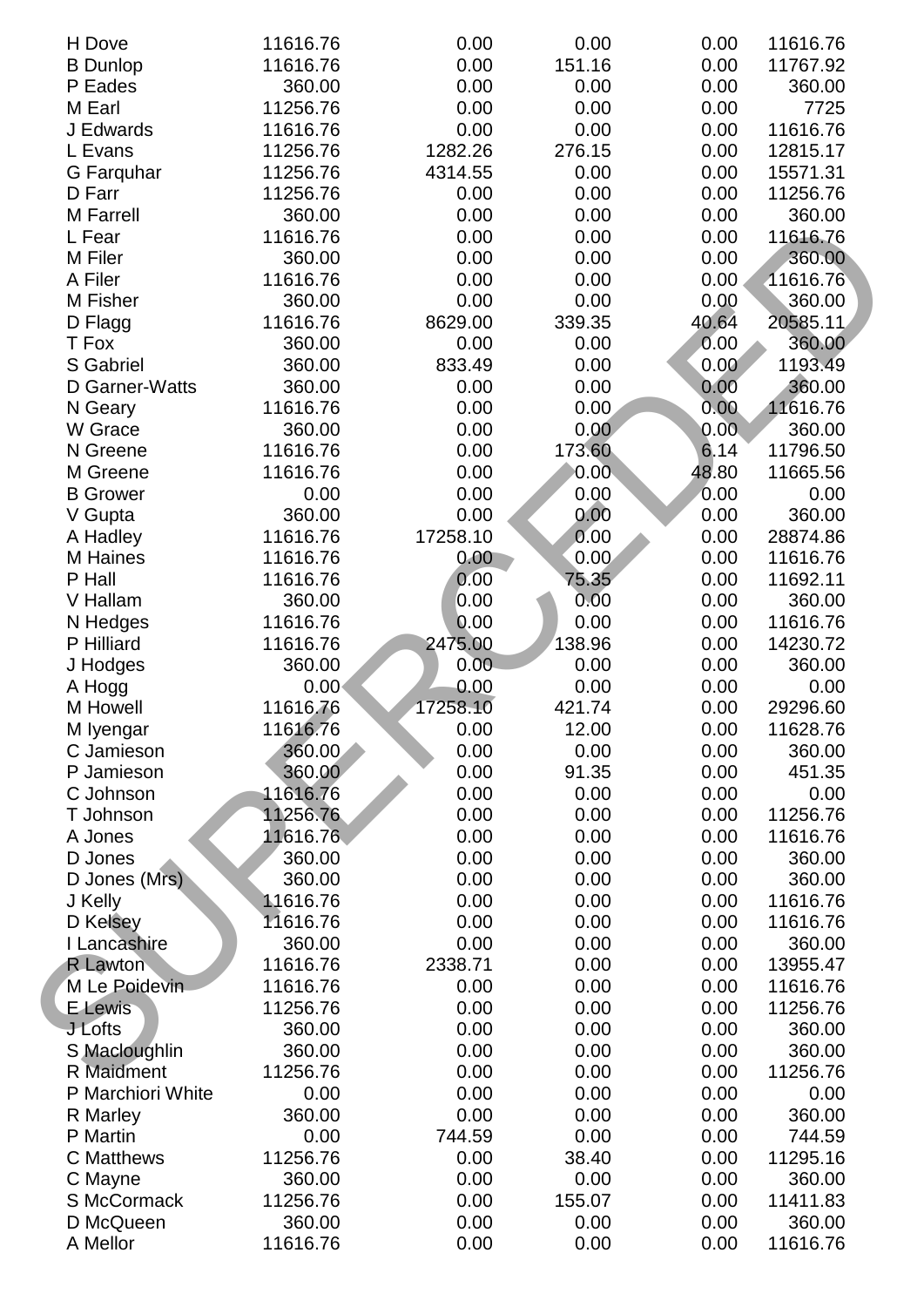| H Dove             | 11616.76          | 0.00     | 0.00   | 0.00  | 11616.76 |
|--------------------|-------------------|----------|--------|-------|----------|
| <b>B</b> Dunlop    | 11616.76          | 0.00     | 151.16 | 0.00  | 11767.92 |
| P Eades            | 360.00            | 0.00     | 0.00   | 0.00  | 360.00   |
| M Earl             | 11256.76          | 0.00     | 0.00   | 0.00  | 7725     |
| J Edwards          | 11616.76          | 0.00     | 0.00   | 0.00  | 11616.76 |
| L Evans            | 11256.76          | 1282.26  | 276.15 | 0.00  | 12815.17 |
| G Farquhar         | 11256.76          | 4314.55  | 0.00   | 0.00  | 15571.31 |
| D Farr             | 11256.76          | 0.00     | 0.00   | 0.00  | 11256.76 |
| <b>M</b> Farrell   | 360.00            | 0.00     | 0.00   | 0.00  | 360.00   |
| L Fear             | 11616.76          | 0.00     | 0.00   | 0.00  | 11616.76 |
| M Filer            | 360.00            | 0.00     | 0.00   | 0.00  | 360.00   |
| A Filer            | 11616.76          | 0.00     | 0.00   | 0.00  | 11616.76 |
| M Fisher           | 360.00            | 0.00     | 0.00   | 0.00  | 360.00   |
| D Flagg            | 11616.76          | 8629.00  | 339.35 | 40.64 | 20585.11 |
| T Fox              | 360.00            | 0.00     | 0.00   | 0.00  | 360.00   |
| S Gabriel          | 360.00            | 833.49   | 0.00   | 0.00  | 1193.49  |
| D Garner-Watts     | 360.00            | 0.00     | 0.00   | 0.00  | 360.00   |
| N Geary            | 11616.76          | 0.00     | 0.00   | 0.00  | 11616.76 |
| W Grace            | 360.00            | 0.00     | 0.00   | 0.00  | 360.00   |
| N Greene           | 11616.76          | 0.00     | 173.60 | 6.14  | 11796.50 |
| M Greene           | 11616.76          | 0.00     | 0.00   | 48.80 | 11665.56 |
| <b>B</b> Grower    | 0.00              | 0.00     | 0.00   | 0.00  | 0.00     |
| V Gupta            | 360.00            | 0.00     | 0.00   | 0.00  | 360.00   |
|                    | 11616.76          | 17258.10 | 0.00   | 0.00  | 28874.86 |
| A Hadley           |                   | 0.00     | 0.00   | 0.00  |          |
| M Haines<br>P Hall | 11616.76          |          |        |       | 11616.76 |
|                    | 11616.76          | 0.00     | 75.35  | 0.00  | 11692.11 |
| V Hallam           | 360.00            | 0.00     | 0.00   | 0.00  | 360.00   |
| N Hedges           | 11616.76          | 0.00     | 0.00   | 0.00  | 11616.76 |
| P Hilliard         | 11616.76          | 2475.00  | 138.96 | 0.00  | 14230.72 |
| J Hodges           | 360.00            | 0.00     | 0.00   | 0.00  | 360.00   |
| A Hogg             | 0.00 <sub>1</sub> | 0.00     | 0.00   | 0.00  | 0.00     |
| M Howell           | 11616.76          | 17258.10 | 421.74 | 0.00  | 29296.60 |
| M Iyengar          | 11616.76          | 0.00     | 12.00  | 0.00  | 11628.76 |
| C Jamieson         | 360.00            | 0.00     | 0.00   | 0.00  | 360.00   |
| P Jamieson         | 360.00            | 0.00     | 91.35  | 0.00  | 451.35   |
| C Johnson          | 11616.76          | 0.00     | 0.00   | 0.00  | 0.00     |
| T Johnson          | 11256.76          | 0.00     | 0.00   | 0.00  | 11256.76 |
| A Jones            | 11616.76          | 0.00     | 0.00   | 0.00  | 11616.76 |
| D Jones            | 360.00            | 0.00     | 0.00   | 0.00  | 360.00   |
| D Jones (Mrs)      | 360.00            | 0.00     | 0.00   | 0.00  | 360.00   |
| J Kelly            | 11616.76          | 0.00     | 0.00   | 0.00  | 11616.76 |
| D Kelsey           | 11616.76          | 0.00     | 0.00   | 0.00  | 11616.76 |
| I Lancashire       | 360.00            | 0.00     | 0.00   | 0.00  | 360.00   |
| <b>R</b> Lawton    | 11616.76          | 2338.71  | 0.00   | 0.00  | 13955.47 |
| M Le Poidevin      | 11616.76          | 0.00     | 0.00   | 0.00  | 11616.76 |
| <b>E</b> Lewis     | 11256.76          | 0.00     | 0.00   | 0.00  | 11256.76 |
| J Lofts            | 360.00            | 0.00     | 0.00   | 0.00  | 360.00   |
| S Macloughlin      | 360.00            | 0.00     | 0.00   | 0.00  | 360.00   |
| <b>R</b> Maidment  | 11256.76          | 0.00     | 0.00   | 0.00  | 11256.76 |
| P Marchiori White  | 0.00              | 0.00     | 0.00   | 0.00  | 0.00     |
| R Marley           | 360.00            | 0.00     | 0.00   | 0.00  | 360.00   |
| P Martin           | 0.00              | 744.59   | 0.00   | 0.00  | 744.59   |
| <b>C</b> Matthews  | 11256.76          | 0.00     | 38.40  | 0.00  | 11295.16 |
| C Mayne            | 360.00            | 0.00     | 0.00   | 0.00  | 360.00   |
| S McCormack        | 11256.76          | 0.00     | 155.07 | 0.00  | 11411.83 |
| D McQueen          | 360.00            | 0.00     | 0.00   | 0.00  | 360.00   |
| A Mellor           | 11616.76          | 0.00     | 0.00   | 0.00  | 11616.76 |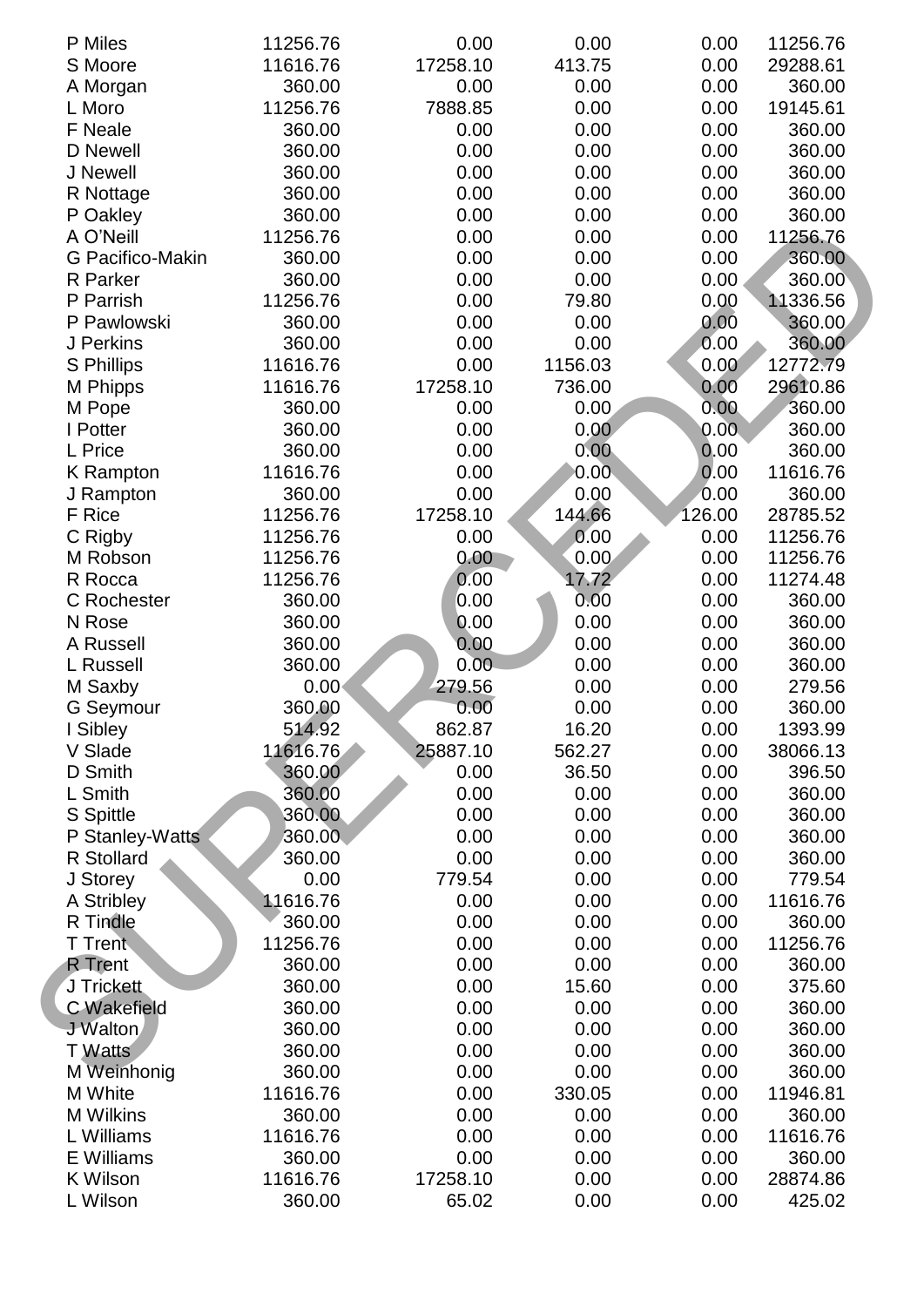| P Miles            | 11256.76 | 0.00     | 0.00    | 0.00   | 11256.76 |
|--------------------|----------|----------|---------|--------|----------|
| S Moore            | 11616.76 | 17258.10 | 413.75  | 0.00   | 29288.61 |
| A Morgan           | 360.00   | 0.00     | 0.00    | 0.00   | 360.00   |
| L Moro             | 11256.76 | 7888.85  | 0.00    | 0.00   | 19145.61 |
| F Neale            | 360.00   | 0.00     | 0.00    | 0.00   | 360.00   |
| D Newell           | 360.00   | 0.00     | 0.00    | 0.00   | 360.00   |
| J Newell           | 360.00   | 0.00     | 0.00    | 0.00   | 360.00   |
| R Nottage          | 360.00   | 0.00     | 0.00    | 0.00   | 360.00   |
| P Oakley           | 360.00   | 0.00     | 0.00    | 0.00   | 360.00   |
| A O'Neill          | 11256.76 | 0.00     | 0.00    | 0.00   | 11256.76 |
| G Pacifico-Makin   | 360.00   | 0.00     | 0.00    | 0.00   | 360.00   |
| R Parker           | 360.00   | 0.00     | 0.00    | 0.00   | 360.00   |
| P Parrish          | 11256.76 | 0.00     | 79.80   | 0.00   | 11336.56 |
| P Pawlowski        | 360.00   | 0.00     | 0.00    | 0.00   | 360.00   |
| J Perkins          | 360.00   | 0.00     | 0.00    | 0.00   | 360.00   |
| <b>S</b> Phillips  | 11616.76 | 0.00     | 1156.03 | 0.00   | 12772.79 |
| M Phipps           | 11616.76 | 17258.10 | 736.00  | 0.00   | 29610.86 |
| M Pope             | 360.00   | 0.00     | 0.00    | 0.00   | 360.00   |
| I Potter           | 360.00   | 0.00     | 0.00    | 0.00   | 360.00   |
| L Price            | 360.00   | 0.00     | 0.00    | 0.00   | 360.00   |
| <b>K</b> Rampton   | 11616.76 | 0.00     | 0.00    | 0.00   | 11616.76 |
| J Rampton          | 360.00   | 0.00     | 0.00    | 0.00   | 360.00   |
| F Rice             | 11256.76 | 17258.10 | 144.66  | 126.00 | 28785.52 |
| C Rigby            | 11256.76 | 0.00     | 0.00    | 0.00   | 11256.76 |
| M Robson           | 11256.76 | 0.00     | 0.00    | 0.00   | 11256.76 |
| R Rocca            | 11256.76 | 0.00     | 17.72   | 0.00   | 11274.48 |
| C Rochester        | 360.00   | 0.00     | 0.00    | 0.00   | 360.00   |
| N Rose             | 360.00   | 0.00     | 0.00    | 0.00   | 360.00   |
| A Russell          | 360.00   | 0.00     | 0.00    | 0.00   | 360.00   |
| L Russell          | 360.00   | 0.00     | 0.00    | 0.00   | 360.00   |
| M Saxby            | 0.00     | 279.56   | 0.00    | 0.00   | 279.56   |
| <b>G</b> Seymour   | 360.00   | 0.00     | 0.00    | 0.00   | 360.00   |
| I Sibley           | 514.92   | 862.87   | 16.20   | 0.00   | 1393.99  |
| V Slade            | 11616.76 | 25887.10 | 562.27  | 0.00   | 38066.13 |
| D Smith            | 360.00   | 0.00     | 36.50   | 0.00   | 396.50   |
| L Smith            | 360.00   | 0.00     | 0.00    | 0.00   | 360.00   |
| S Spittle          | 360.00   | 0.00     | 0.00    | 0.00   | 360.00   |
| P Stanley-Watts    | 360.00   | 0.00     | 0.00    | 0.00   | 360.00   |
| R Stollard         | 360.00   | 0.00     | 0.00    | 0.00   | 360.00   |
| J Storey           | 0.00     | 779.54   | 0.00    | 0.00   | 779.54   |
| A Stribley         | 11616.76 | 0.00     | 0.00    | 0.00   | 11616.76 |
| R Tindle           | 360.00   | 0.00     | 0.00    | 0.00   | 360.00   |
| T Trent            | 11256.76 | 0.00     | 0.00    | 0.00   | 11256.76 |
| <b>R</b> Trent     | 360.00   | 0.00     | 0.00    | 0.00   | 360.00   |
| J Trickett         | 360.00   | 0.00     | 15.60   | 0.00   | 375.60   |
| <b>C</b> Wakefield | 360.00   | 0.00     | 0.00    | 0.00   | 360.00   |
| J Walton           | 360.00   | 0.00     | 0.00    | 0.00   | 360.00   |
| T Watts            | 360.00   | 0.00     | 0.00    | 0.00   | 360.00   |
| M Weinhonig        | 360.00   | 0.00     | 0.00    | 0.00   | 360.00   |
| M White            | 11616.76 | 0.00     | 330.05  | 0.00   | 11946.81 |
| <b>M</b> Wilkins   | 360.00   | 0.00     | 0.00    | 0.00   | 360.00   |
| L Williams         | 11616.76 | 0.00     | 0.00    | 0.00   | 11616.76 |
| E Williams         | 360.00   | 0.00     | 0.00    | 0.00   | 360.00   |
| K Wilson           | 11616.76 | 17258.10 | 0.00    | 0.00   | 28874.86 |
| L Wilson           | 360.00   | 65.02    | 0.00    | 0.00   | 425.02   |
|                    |          |          |         |        |          |